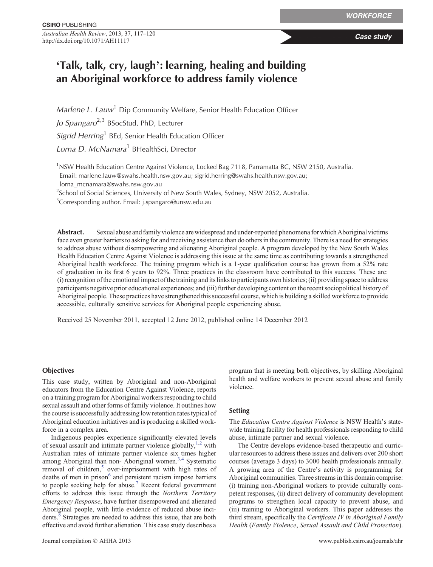*Australian Health Review*, 2013, 37, 117–120 **Case study Case study Case study** 

# '**Talk, talk, cry, laugh**'**: learning, healing and building an Aboriginal workforce to address family violence**

*Marlene L. Lauw*<sup>1</sup> Dip Community Welfare, Senior Health Education Officer *Jo Spangaro*2,3 BSocStud, PhD, Lecturer

*Sigrid Herring*<sup>1</sup> BEd, Senior Health Education Officer

*Lorna D. McNamara*<sup>1</sup> BHealthSci, Director

<sup>1</sup>NSW Health Education Centre Against Violence, Locked Bag 7118, Parramatta BC, NSW 2150, Australia. Email: [marlene.lauw@swahs.health.nsw.gov.au;](mailto:marlene.lauw@swahs.health.nsw.gov.au) [sigrid.herring@swahs.health.nsw.gov.au](mailto:sigrid.herring@swahs.health.nsw.gov.au);

[lorna\\_mcnamara@swahs.nsw.gov.au](mailto:lorna_mcnamara@swahs.nsw.gov.au)

<sup>2</sup>School of Social Sciences, University of New South Wales, Sydney, NSW 2052, Australia.

<sup>3</sup>Corresponding author. Email: [j.spangaro@unsw.edu.au](mailto:j.spangaro@unsw.edu.au)

**Abstract.** Sexual abuse and family violence are widespread and under-reported phenomena for which Aboriginal victims face even greater barriers to asking for and receiving assistance than do others in the community. There is a need for strategies to address abuse without disempowering and alienating Aboriginal people. A program developed by the New South Wales Health Education Centre Against Violence is addressing this issue at the same time as contributing towards a strengthened Aboriginal health workforce. The training program which is a 1-year qualification course has grown from a 52% rate of graduation in its first 6 years to 92%. Three practices in the classroom have contributed to this success. These are: (i) recognition of the emotional impact of the training and its links to participants own histories; (ii) providing space to address participants negative prior educational experiences; and (iii) further developing content on the recent sociopolitical history of Aboriginal people. These practices have strengthened this successful course, which is building a skilled workforce to provide accessible, culturally sensitive services for Aboriginal people experiencing abuse.

Received 25 November 2011, accepted 12 June 2012, published online 14 December 2012

## **Objectives**

This case study, written by Aboriginal and non-Aboriginal educators from the Education Centre Against Violence, reports on a training program for Aboriginal workers responding to child sexual assault and other forms of family violence. It outlines how the course is successfully addressing low retention rates typical of Aboriginal education initiatives and is producing a skilled workforce in a complex area.

Indigenous peoples experience significantly elevated levels of sexual assault and intimate partner violence globally,  $1,2$  with Australian rates of intimate partner violence six times higher among Aboriginal than non-Aboriginal women.<sup>3,4</sup> Systematic removal of children,<sup>[5](#page-3-0)</sup> over-imprisonment with high rates of deaths of men in prison<sup>[6](#page-3-0)</sup> and persistent racism impose barriers to people seeking help for abuse.<sup>[7](#page-3-0)</sup> Recent federal government efforts to address this issue through the *Northern Territory Emergency Response*, have further disempowered and alienated Aboriginal people, with little evidence of reduced abuse inci-dents.<sup>[8](#page-3-0)</sup> Strategies are needed to address this issue, that are both effective and avoid further alienation. This case study describes a

program that is meeting both objectives, by skilling Aboriginal health and welfare workers to prevent sexual abuse and family violence.

## **Setting**

The *Education Centre Against Violence* is NSW Health's statewide training facility for health professionals responding to child abuse, intimate partner and sexual violence.

The Centre develops evidence-based therapeutic and curricular resources to address these issues and delivers over 200 short courses (average 3 days) to 3000 health professionals annually. A growing area of the Centre's activity is programming for Aboriginal communities. Three streams in this domain comprise: (i) training non-Aboriginal workers to provide culturally competent responses, (ii) direct delivery of community development programs to strengthen local capacity to prevent abuse, and (iii) training to Aboriginal workers. This paper addresses the third stream, specifically the *Certificate IV in Aboriginal Family Health* (*Family Violence*, *Sexual Assault and Child Protection*).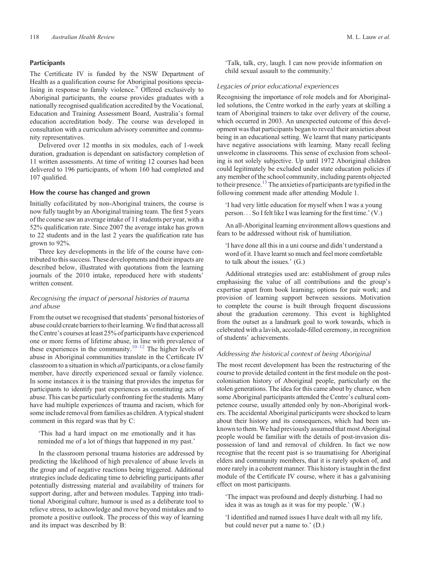# **Participants**

The Certificate IV is funded by the NSW Department of Health as a qualification course for Aboriginal positions specialising in response to family violence.<sup>9</sup> Offered exclusively to Aboriginal participants, the course provides graduates with a nationally recognised qualification accredited by the Vocational, Education and Training Assessment Board, Australia's formal education accreditation body. The course was developed in consultation with a curriculum advisory committee and community representatives.

Delivered over 12 months in six modules, each of 1-week duration, graduation is dependant on satisfactory completion of 11 written assessments. At time of writing 12 courses had been delivered to 196 participants, of whom 160 had completed and 107 qualified.

## **How the course has changed and grown**

Initially cofacilitated by non-Aboriginal trainers, the course is now fully taught by an Aboriginal training team. The first 5 years of the course saw an average intake of 11 students per year, with a 52% qualification rate. Since 2007 the average intake has grown to 22 students and in the last 2 years the qualification rate has grown to 92%.

Three key developments in the life of the course have contributed to this success. These developments and their impacts are described below, illustrated with quotations from the learning journals of the 2010 intake, reproduced here with students' written consent.

# *Recognising the impact of personal histories of trauma and abuse*

From the outset we recognised that students' personal histories of abuse could create barriers to their learning.We find that across all the Centre's courses at least 25% of participants have experienced one or more forms of lifetime abuse, in line with prevalence of these experiences in the community.<sup>[10](#page-3-0)–[12](#page-3-0)</sup> The higher levels of abuse in Aboriginal communities translate in the Certificate IV classroom to a situation in which *all* participants, or a close family member, have directly experienced sexual or family violence. In some instances it is the training that provides the impetus for participants to identify past experiences as constituting acts of abuse. This can be particularly confronting for the students. Many have had multiple experiences of trauma and racism, which for some include removal from families as children. A typical student comment in this regard was that by C:

'This had a hard impact on me emotionally and it has reminded me of a lot of things that happened in my past.'

In the classroom personal trauma histories are addressed by predicting the likelihood of high prevalence of abuse levels in the group and of negative reactions being triggered. Additional strategies include dedicating time to debriefing participants after potentially distressing material and availability of trainers for support during, after and between modules. Tapping into traditional Aboriginal culture, humour is used as a deliberate tool to relieve stress, to acknowledge and move beyond mistakes and to promote a positive outlook. The process of this way of learning and its impact was described by B:

'Talk, talk, cry, laugh. I can now provide information on child sexual assault to the community.'

# *Legacies of prior educational experiences*

Recognising the importance of role models and for Aboriginalled solutions, the Centre worked in the early years at skilling a team of Aboriginal trainers to take over delivery of the course, which occurred in 2003. An unexpected outcome of this development was that participants began to reveal their anxieties about being in an educational setting. We learnt that many participants have negative associations with learning. Many recall feeling unwelcome in classrooms. This sense of exclusion from schooling is not solely subjective. Up until 1972 Aboriginal children could legitimately be excluded under state education policies if any member of the school community, including parents objected to their presence.<sup>[13](#page-3-0)</sup> The anxieties of participants are typified in the following comment made after attending Module 1.

'I had very little education for myself when I was a young person... So I felt like I was learning for the first time.'(V.)

An all-Aboriginal learning environment allows questions and fears to be addressed without risk of humiliation.

'I have done all this in a uni course and didn't understand a word of it. I have learnt so much and feel more comfortable to talk about the issues.' (G.)

Additional strategies used are: establishment of group rules emphasising the value of all contributions and the group's expertise apart from book learning; options for pair work; and provision of learning support between sessions. Motivation to complete the course is built through frequent discussions about the graduation ceremony. This event is highlighted from the outset as a landmark goal to work towards, which is celebrated with a lavish, accolade-filled ceremony, in recognition of students' achievements.

## *Addressing the historical context of being Aboriginal*

The most recent development has been the restructuring of the course to provide detailed content in the first module on the postcolonisation history of Aboriginal people, particularly on the stolen generations. The idea for this came about by chance, when some Aboriginal participants attended the Centre's cultural competence course, usually attended only by non-Aboriginal workers. The accidental Aboriginal participants were shocked to learn about their history and its consequences, which had been unknown to them. We had previously assumed that most Aboriginal people would be familiar with the details of post-invasion dispossession of land and removal of children. In fact we now recognise that the recent past is so traumatising for Aboriginal elders and community members, that it is rarely spoken of, and more rarely in a coherent manner. This history is taught in the first module of the Certificate IV course, where it has a galvanising effect on most participants.

'The impact was profound and deeply disturbing. I had no idea it was as tough as it was for my people.' (W.)

'I identified and named issues I have dealt with all my life, but could never put a name to.' (D.)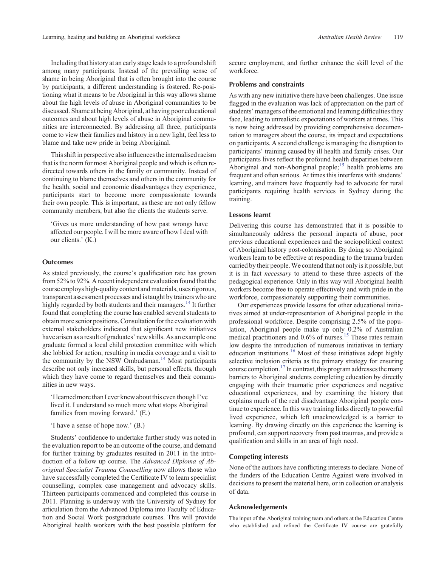Including that history at an early stage leads to a profound shift among many participants. Instead of the prevailing sense of shame in being Aboriginal that is often brought into the course by participants, a different understanding is fostered. Re-positioning what it means to be Aboriginal in this way allows shame about the high levels of abuse in Aboriginal communities to be discussed. Shame at being Aboriginal, at having poor educational outcomes and about high levels of abuse in Aboriginal communities are interconnected. By addressing all three, participants come to view their families and history in a new light, feel less to blame and take new pride in being Aboriginal.

This shift in perspective also influences the internalised racism that is the norm for most Aboriginal people and which is often redirected towards others in the family or community. Instead of continuing to blame themselves and others in the community for the health, social and economic disadvantages they experience, participants start to become more compassionate towards their own people. This is important, as these are not only fellow community members, but also the clients the students serve.

'Gives us more understanding of how past wrongs have affected our people. I will be more aware of how I deal with our clients.' (K.)

#### **Outcomes**

As stated previously, the course's qualification rate has grown from 52% to 92%. A recent independent evaluation found that the course employs high-quality content and materials, uses rigorous, transparent assessment processes and is taught by trainers who are highly regarded by both students and their managers.<sup>14</sup> It further found that completing the course has enabled several students to obtain more senior positions. Consultation for the evaluation with external stakeholders indicated that significant new initiatives have arisen as a result of graduates' new skills. As an example one graduate formed a local child protection committee with which she lobbied for action, resulting in media coverage and a visit to the community by the NSW Ombudsman.<sup>[14](#page-3-0)</sup> Most participants describe not only increased skills, but personal effects, through which they have come to regard themselves and their communities in new ways.

'I learned more than I ever knew about this even though I've lived it. I understand so much more what stops Aboriginal families from moving forward.' (E.)

'I have a sense of hope now.' (B.)

Students' confidence to undertake further study was noted in the evaluation report to be an outcome of the course, and demand for further training by graduates resulted in 2011 in the introduction of a follow up course. The *Advanced Diploma of Aboriginal Specialist Trauma Counselling* now allows those who have successfully completed the Certificate IV to learn specialist counselling, complex case management and advocacy skills. Thirteen participants commenced and completed this course in 2011. Planning is underway with the University of Sydney for articulation from the Advanced Diploma into Faculty of Education and Social Work postgraduate courses. This will provide Aboriginal health workers with the best possible platform for

secure employment, and further enhance the skill level of the workforce.

## **Problems and constraints**

As with any new initiative there have been challenges. One issue flagged in the evaluation was lack of appreciation on the part of students' managers of the emotional and learning difficulties they face, leading to unrealistic expectations of workers at times. This is now being addressed by providing comprehensive documentation to managers about the course, its impact and expectations on participants. A second challenge is managing the disruption to participants' training caused by ill health and family crises. Our participants lives reflect the profound health disparities between Aboriginal and non-Aboriginal people;<sup>15</sup> health problems are frequent and often serious. At times this interferes with students' learning, and trainers have frequently had to advocate for rural participants requiring health services in Sydney during the training.

#### **Lessons learnt**

Delivering this course has demonstrated that it is possible to simultaneously address the personal impacts of abuse, poor previous educational experiences and the sociopolitical context of Aboriginal history post-colonisation. By doing so Aboriginal workers learn to be effective at responding to the trauma burden carried by their people.We contend that not only is it possible, but it is in fact *necessary* to attend to these three aspects of the pedagogical experience. Only in this way will Aboriginal health workers become free to operate effectively and with pride in the workforce, compassionately supporting their communities.

Our experiences provide lessons for other educational initiatives aimed at under-representation of Aboriginal people in the professional workforce. Despite comprising 2.5% of the population, Aboriginal people make up only 0.2% of Australian medical practitioners and 0.6% of nurses.<sup>[15](#page-3-0)</sup> These rates remain low despite the introduction of numerous initiatives in tertiary education institutions.[16](#page-3-0) Most of these initiatives adopt highly selective inclusion criteria as the primary strategy for ensuring course completion.<sup>17</sup> In contrast, this program addresses the many barriers to Aboriginal students completing education by directly engaging with their traumatic prior experiences and negative educational experiences, and by examining the history that explains much of the real disadvantage Aboriginal people continue to experience. In this way training links directly to powerful lived experience, which left unacknowledged is a barrier to learning. By drawing directly on this experience the learning is profound, can support recovery from past traumas, and provide a qualification and skills in an area of high need.

#### **Competing interests**

None of the authors have conflicting interests to declare. None of the funders of the Education Centre Against were involved in decisions to present the material here, or in collection or analysis of data.

# **Acknowledgements**

The input of the Aboriginal training team and others at the Education Centre who established and refined the Certificate IV course are gratefully